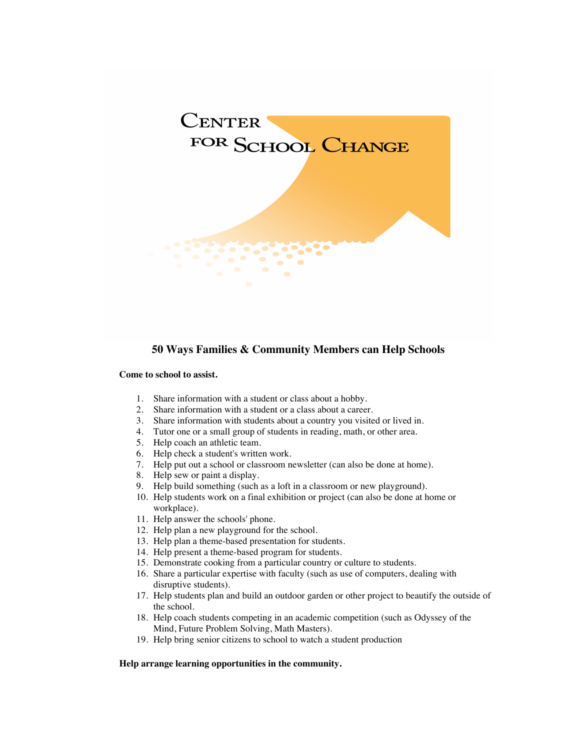

# **50 Ways Families & Community Members can Help Schools**

#### **Come to school to assist.**

- 1. Share information with a student or class about a hobby.
- 2. Share information with a student or a class about a career.
- 3. Share information with students about a country you visited or lived in.
- 4. Tutor one or a small group of students in reading, math, or other area.
- 5. Help coach an athletic team.
- 6. Help check a student's written work.
- 7. Help put out a school or classroom newsletter (can also be done at home).
- 8. Help sew or paint a display.
- 9. Help build something (such as a loft in a classroom or new playground).
- 10. Help students work on a final exhibition or project (can also be done at home or workplace).
- 11. Help answer the schools' phone.
- 12. Help plan a new playground for the school.
- 13. Help plan a theme-based presentation for students.
- 14. Help present a theme-based program for students.
- 15. Demonstrate cooking from a particular country or culture to students.
- 16. Share a particular expertise with faculty (such as use of computers, dealing with disruptive students).
- 17. Help students plan and build an outdoor garden or other project to beautify the outside of the school.
- 18. Help coach students competing in an academic competition (such as Odyssey of the Mind, Future Problem Solving, Math Masters).
- 19. Help bring senior citizens to school to watch a student production

#### **Help arrange learning opportunities in the community.**